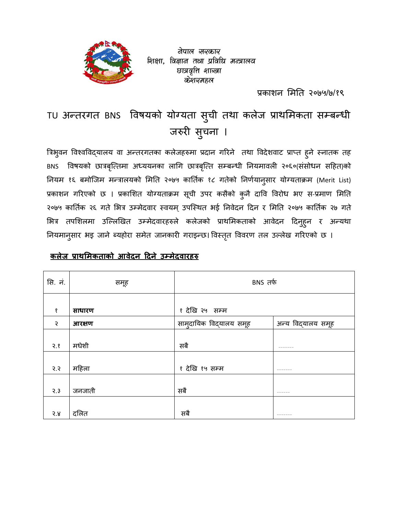वेपाल सरकार शिक्षा, विज्ञान तथा प्रविधि मन्त्रालय छात्रवृत्ति शाख्वा केशव्यमहल

 $\mathbf{y} = \mathbf{y} \in \mathbb{R}^{n \times n}$  , where  $\mathbf{y} = \mathbf{y} \in \mathbb{R}^{n \times n}$ प्रकाशन मिति २०७५/७/१९

# TU अतरगत BNS वषयको योयता सची तथा कलेज -ाथमकता स\$बधी ु जरुरी सुचना ।

त्रिभुवन विश्वविद्यालय वा अन्तरगतका कलेजहरुमा प्रदान गरिने तथा विदेशवाट प्राप्त हुने स्नातक तह BNS विषयको छात्रबृत्तिमा अध्ययनका लागि छात्रबृत्ति सम्बन्धी नियमावली २०६०(संसोधन सहित)को नियम १६ बमोजिम मन्त्रालयको मिति २०७५ कार्तिक १८ गतेको निर्णयानुसार योग्यताक्रम (Merit List) प्रकाशन गरिएको छ । प्रकाशित योग्यताक्रम सूची उपर कसैको कुनै दावि विरोध भए स-प्रमाण मिति | २०७५ कार्तिक २६ गते भित्र उम्मेदवार स्वयम् उपस्थित भई निवेदन दिन र मिति २०७५ कार्तिक २७ गते भित्र तपशिलमा उल्लिखित उम्मेदवारहरुले कलेजको प्राथमिकताको आवेदन दिनुहुन र अन्यथा नियमानुसार भइ जाने ब्यहोरा समेत जानकारी गराइन्छ। विस्तृत विवरण तल उल्लेख गरिएको छ ।

## **कलेज ाथ मकताको आवेदन दने उमेदवारह**

| सि. नं. | समूह   | BNS तर्फ                |                    |  |  |  |
|---------|--------|-------------------------|--------------------|--|--|--|
| १       | साधारण | १ देखि २५) सम्म         |                    |  |  |  |
| २       | आरक्षण | सामुदायिक विद्यालय समूह | अन्य विद्यालय समूह |  |  |  |
| 3.8     | मधेशी  | सबै                     | $- - - - - - -$    |  |  |  |
| 5.5     | महिला  | १ देखि १५ सम्म          | ---------          |  |  |  |
| 2.3     | जनजाती | सबै                     |                    |  |  |  |
| 3.8     | दलित   | सबै                     | $- - - - - - -$    |  |  |  |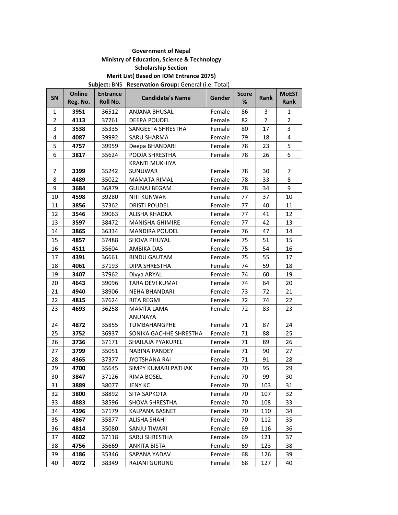### **Government of Nepal Ministry of Education, Science & Technology Scholarship Section Merit List( Based on IOM Entrance 2075)**

**Subject:** BNS **Reservation Group:** General (i.e. Total)

| SN           | Online<br>Reg. No. | <b>Entrance</b><br>Roll No. | <b>Candidate's Name</b>    | Gender | <b>Score</b><br>% | Rank | <b>MoEST</b><br>Rank |
|--------------|--------------------|-----------------------------|----------------------------|--------|-------------------|------|----------------------|
| $\mathbf{1}$ | 3951               | 36512                       | ANJANA BHUSAL              | Female | 86                | 3    | 1                    |
| 2            | 4113               | 37261                       | DEEPA POUDEL               | Female | 82                | 7    | $\overline{2}$       |
| 3            | 3538               | 35335                       | SANGEETA SHRESTHA          | Female | 80                | 17   | 3                    |
| 4            | 4087               | 39992                       | <b>SARU SHARMA</b>         | Female | 79                | 18   | 4                    |
| 5            | 4757               | 39959                       | Deepa BHANDARI             | Female | 78                | 23   | 5                    |
| 6            | 3817               | 35624                       | POOJA SHRESTHA             | Female | 78                | 26   | 6                    |
|              |                    |                             | <b>KRANTI MUKHIYA</b>      |        |                   |      |                      |
| 7            | 3399               | 35242                       | SUNUWAR                    | Female | 78                | 30   | 7                    |
| 8            | 4489               | 35022                       | <b>MAMATA RIMAL</b>        | Female | 78                | 33   | 8                    |
| 9            | 3684               | 36879                       | <b>GULNAJ BEGAM</b>        | Female | 78                | 34   | 9                    |
| 10           | 4598               | 39280                       | <b>NITI KUNWAR</b>         | Female | 77                | 37   | 10                   |
| 11           | 3856               | 37362                       | <b>DRISTI POUDEL</b>       | Female | 77                | 40   | 11                   |
| 12           | 3546               | 39063                       | ALISHA KHADKA              | Female | 77                | 41   | 12                   |
| 13           | 3597               | 38472                       | <b>MANISHA GHIMIRE</b>     | Female | 77                | 42   | 13                   |
| 14           | 3865               | 36334                       | <b>MANDIRA POUDEL</b>      | Female | 76                | 47   | 14                   |
| 15           | 4857               | 37488                       | SHOVA PHUYAL               | Female | 75                | 51   | 15                   |
| 16           | 4511               | 35604                       | AMBIKA DAS                 | Female | 75                | 54   | 16                   |
| 17           | 4391               | 36661                       | <b>BINDU GAUTAM</b>        | Female | 75                | 55   | 17                   |
| 18           | 4061               | 37193                       | DIPA SHRESTHA              | Female | 74                | 59   | 18                   |
| 19           | 3407               | 37962                       | Divya ARYAL                | Female | 74                | 60   | 19                   |
| 20           | 4643               | 39096                       | TARA DEVI KUMAI            | Female | 74                | 64   | 20                   |
| 21           | 4940               | 38906                       | NEHA BHANDARI              | Female | 73                | 72   | 21                   |
| 22           | 4815               | 37624                       | <b>RITA REGMI</b>          | Female | 72                | 74   | 22                   |
| 23           | 4693               | 36258                       | <b>MAMTA LAMA</b>          | Female | 72                | 83   | 23                   |
|              |                    |                             | ANUNAYA                    |        |                   |      |                      |
| 24           | 4872               | 35855                       | <b>TUMBAHANGPHE</b>        | Female | 71                | 87   | 24                   |
| 25           | 3752               | 36937                       | SONIKA GACHHE SHRESTHA     | Female | 71                | 88   | 25                   |
| 26           | 3736               | 37171                       | SHAILAJA PYAKUREL          | Female | 71                | 89   | 26                   |
| 27           | 3799               | 35051                       | NABINA PANDEY              | Female | 71                | 90   | 27                   |
| 28           | 4365               | 37377                       | <b>JYOTSHANA RAI</b>       | Female | 71                | 91   | 28                   |
| 29           | 4700               | 35645                       | <b>SIMPY KUMARI PATHAK</b> | Female | 70                | 95   | 29                   |
| 30           | 3847               | 37126                       | <b>RIMA BOSEL</b>          | Female | 70                | 99   | 30                   |
| 31           | 3889               | 38077                       | <b>JENY KC</b>             | Female | 70                | 103  | 31                   |
| 32           | 3800               | 38892                       | SITA SAPKOTA               | Female | 70                | 107  | 32                   |
| 33           | 4883               | 38596                       | SHOVA SHRESTHA             | Female | 70                | 108  | 33                   |
| 34           | 4396               | 37179                       | KALPANA BASNET             | Female | 70                | 110  | 34                   |
| 35           | 4867               | 35877                       | <b>ALISHA SHAHI</b>        | Female | 70                | 112  | 35                   |
| 36           | 4814               | 35080                       | SANJU TIWARI               | Female | 69                | 116  | 36                   |
| 37           | 4602               | 37118                       | <b>SARU SHRESTHA</b>       | Female | 69                | 121  | 37                   |
| 38           | 4756               | 35669                       | <b>ANKITA BISTA</b>        | Female | 69                | 123  | 38                   |
| 39           | 4186               | 35346                       | SAPANA YADAV               | Female | 68                | 126  | 39                   |
| 40           | 4072               | 38349                       | <b>RAJANI GURUNG</b>       | Female | 68                | 127  | 40                   |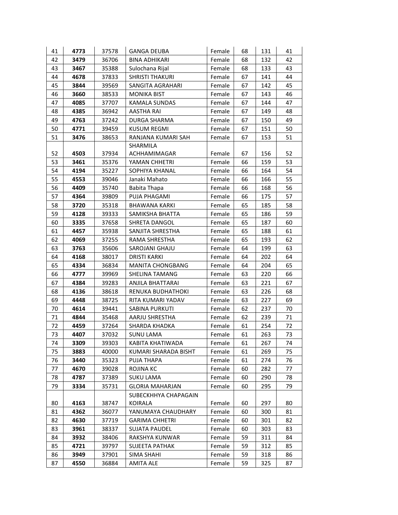| 41 | 4773 | 37578 | <b>GANGA DEUBA</b>                     | Female | 68 | 131 | 41 |
|----|------|-------|----------------------------------------|--------|----|-----|----|
| 42 | 3479 | 36706 | <b>BINA ADHIKARI</b>                   | Female | 68 | 132 | 42 |
| 43 | 3467 | 35388 | Sulochana Rijal                        | Female | 68 | 133 | 43 |
| 44 | 4678 | 37833 | <b>SHRISTI THAKURI</b>                 | Female | 67 | 141 | 44 |
| 45 | 3844 | 39569 | SANGITA AGRAHARI                       | Female | 67 | 142 | 45 |
| 46 | 3660 | 38533 | <b>MONIKA BIST</b>                     | Female | 67 | 143 | 46 |
| 47 | 4085 | 37707 | KAMALA SUNDAS                          | Female | 67 | 144 | 47 |
| 48 | 4385 | 36942 | AASTHA RAI                             | Female | 67 | 149 | 48 |
| 49 | 4763 | 37242 | DURGA SHARMA                           | Female | 67 | 150 | 49 |
| 50 | 4771 | 39459 | <b>KUSUM REGMI</b>                     | Female | 67 | 151 | 50 |
| 51 | 3476 | 38653 | RANJANA KUMARI SAH                     | Female | 67 | 153 | 51 |
|    |      |       | SHARMILA                               |        |    |     |    |
| 52 | 4503 | 37934 | ACHHAMIMAGAR                           | Female | 67 | 156 | 52 |
| 53 | 3461 | 35376 | YAMAN CHHETRI                          | Female | 66 | 159 | 53 |
| 54 | 4194 | 35227 | SOPHIYA KHANAL                         | Female | 66 | 164 | 54 |
| 55 | 4553 | 39046 | Janaki Mahato                          | Female | 66 | 166 | 55 |
| 56 | 4409 | 35740 | Babita Thapa                           | Female | 66 | 168 | 56 |
| 57 | 4364 | 39809 | PUJA PHAGAMI                           | Female | 66 | 175 | 57 |
| 58 | 3720 | 35318 | BHAWANA KARKI                          | Female | 65 | 185 | 58 |
| 59 | 4128 | 39333 | SAMIKSHA BHATTA                        | Female | 65 | 186 | 59 |
| 60 | 3335 | 37658 | SHRETA DANGOL                          | Female | 65 | 187 | 60 |
| 61 | 4457 | 35938 | SANJITA SHRESTHA                       | Female | 65 | 188 | 61 |
| 62 | 4069 | 37255 | RAMA SHRESTHA                          | Female | 65 | 193 | 62 |
| 63 | 3763 | 35606 | SAROJANI GHAJU                         | Female | 64 | 199 | 63 |
| 64 | 4168 | 38017 | <b>DRISTI KARKI</b>                    | Female | 64 | 202 | 64 |
| 65 | 4334 | 36834 | <b>MANITA CHONGBANG</b>                | Female | 64 | 204 | 65 |
| 66 | 4777 | 39969 | SHELINA TAMANG                         | Female | 63 | 220 | 66 |
| 67 | 4384 | 39283 | ANJILA BHATTARAI                       | Female | 63 | 221 | 67 |
| 68 | 4136 | 38618 | RENUKA BUDHATHOKI                      | Female | 63 | 226 | 68 |
| 69 | 4448 | 38725 | RITA KUMARI YADAV                      | Female | 63 | 227 | 69 |
| 70 | 4614 | 39441 | SABINA PURKUTI                         | Female | 62 | 237 | 70 |
| 71 | 4844 | 35468 | AARJU SHRESTHA                         | Female | 62 | 239 | 71 |
| 72 | 4459 | 37264 | SHARDA KHADKA                          | Female | 61 | 254 | 72 |
| 73 | 4407 | 37032 | <b>SUNU LAMA</b>                       | Female | 61 | 263 | 73 |
| 74 | 3309 | 39303 | KABITA KHATIWADA                       | Female | 61 | 267 | 74 |
| 75 | 3883 | 40000 | KUMARI SHARADA BISHT                   | Female | 61 | 269 | 75 |
| 76 | 3440 | 35323 | PUJA THAPA                             | Female | 61 | 274 | 76 |
| 77 | 4670 | 39028 | ROJINA KC                              | Female | 60 | 282 | 77 |
| 78 | 4787 | 37389 | <b>SUKU LAMA</b>                       | Female | 60 | 290 | 78 |
| 79 | 3334 | 35731 | GLORIA MAHARJAN                        | Female | 60 | 295 | 79 |
| 80 | 4163 | 38747 | SUBECKHHYA CHAPAGAIN<br><b>KOIRALA</b> | Female | 60 | 297 | 80 |
| 81 | 4362 | 36077 | YANUMAYA CHAUDHARY                     | Female | 60 | 300 | 81 |
| 82 | 4630 | 37719 | <b>GARIMA CHHETRI</b>                  | Female | 60 | 301 | 82 |
| 83 | 3961 | 38337 | SUJATA PAUDEL                          | Female | 60 | 303 | 83 |
| 84 | 3932 | 38406 | RAKSHYA KUNWAR                         | Female | 59 | 311 | 84 |
| 85 | 4721 | 39797 | SUJEETA PATHAK                         | Female | 59 | 312 | 85 |
| 86 | 3949 | 37901 | <b>SIMA SHAHI</b>                      | Female | 59 | 318 | 86 |
| 87 | 4550 | 36884 | <b>AMITA ALE</b>                       | Female | 59 | 325 | 87 |
|    |      |       |                                        |        |    |     |    |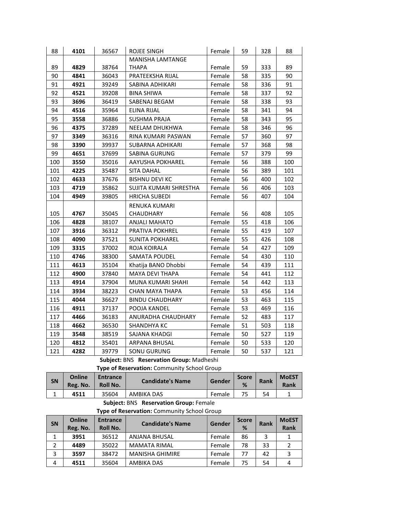| 88  | 4101 | 36567 | ROJEE SINGH             | Female | 59 | 328 | 88  |
|-----|------|-------|-------------------------|--------|----|-----|-----|
|     |      |       | <b>MANISHA LAMTANGE</b> |        |    |     |     |
| 89  | 4829 | 38764 | <b>THAPA</b>            | Female | 59 | 333 | 89  |
| 90  | 4841 | 36043 | PRATEEKSHA RIJAL        | Female | 58 | 335 | 90  |
| 91  | 4921 | 39249 | SABINA ADHIKARI         | Female | 58 | 336 | 91  |
| 92  | 4521 | 39208 | <b>BINA SHIWA</b>       | Female | 58 | 337 | 92  |
| 93  | 3696 | 36419 | SABENAJ BEGAM           | Female | 58 | 338 | 93  |
| 94  | 4516 | 35964 | <b>ELINA RIJAL</b>      | Female | 58 | 341 | 94  |
| 95  | 3558 | 36886 | <b>SUSHMA PRAJA</b>     | Female | 58 | 343 | 95  |
| 96  | 4375 | 37289 | NEELAM DHUKHWA          | Female | 58 | 346 | 96  |
| 97  | 3349 | 36316 | RINA KUMARI PASWAN      | Female | 57 | 360 | 97  |
| 98  | 3390 | 39937 | SUBARNA ADHIKARI        | Female | 57 | 368 | 98  |
| 99  | 4651 | 37699 | SABINA GURUNG           | Female | 57 | 379 | 99  |
| 100 | 3550 | 35016 | AAYUSHA POKHAREL        | Female | 56 | 388 | 100 |
| 101 | 4225 | 35487 | <b>SITA DAHAL</b>       | Female | 56 | 389 | 101 |
| 102 | 4633 | 37676 | <b>BISHNU DEVI KC</b>   | Female | 56 | 400 | 102 |
| 103 | 4719 | 35862 | SUJITA KUMARI SHRESTHA  | Female | 56 | 406 | 103 |
| 104 | 4949 | 39805 | <b>HRICHA SUBEDI</b>    | Female | 56 | 407 | 104 |
|     |      |       | RENUKA KUMARI           |        |    |     |     |
| 105 | 4767 | 35045 | CHAUDHARY               | Female | 56 | 408 | 105 |
| 106 | 4828 | 38107 | <b>ANJALI MAHATO</b>    | Female | 55 | 418 | 106 |
| 107 | 3916 | 36312 | PRATIVA POKHREL         | Female | 55 | 419 | 107 |
| 108 | 4090 | 37521 | <b>SUNITA POKHAREL</b>  | Female | 55 | 426 | 108 |
| 109 | 3315 | 37002 | ROJA KOIRALA            | Female | 54 | 427 | 109 |
| 110 | 4746 | 38300 | SAMATA POUDEL           | Female | 54 | 430 | 110 |
| 111 | 4613 | 35104 | Khatija BANO Dhobbi     | Female | 54 | 439 | 111 |
| 112 | 4900 | 37840 | MAYA DEVI THAPA         | Female | 54 | 441 | 112 |
| 113 | 4914 | 37904 | MUNA KUMARI SHAHI       | Female | 54 | 442 | 113 |
| 114 | 3934 | 38223 | CHAN MAYA THAPA         | Female | 53 | 456 | 114 |
| 115 | 4044 | 36627 | <b>BINDU CHAUDHARY</b>  | Female | 53 | 463 | 115 |
| 116 | 4911 | 37137 | POOJA KANDEL            | Female | 53 | 469 | 116 |
| 117 | 4466 | 36183 | ANURADHA CHAUDHARY      | Female | 52 | 483 | 117 |
| 118 | 4662 | 36530 | SHANDHYA KC             | Female | 51 | 503 | 118 |
| 119 | 3548 | 38519 | SAJANA KHADGI           | Female | 50 | 527 | 119 |
| 120 | 4812 | 35401 | ARPANA BHUSAL           | Female | 50 | 533 | 120 |
| 121 | 4282 | 39779 | SONU GURUNG             | Female | 50 | 537 | 121 |

**Subject:** BNS **Reservation Group:** Madheshi

**Type of Reservation:** Community School Group

| SN | Online<br>Reg. No. | <b>Entrance</b><br>Roll No. | <b>Candidate's Name</b> | Gender | <b>Score</b><br>% | Rank | <b>MoEST</b><br>Rank |
|----|--------------------|-----------------------------|-------------------------|--------|-------------------|------|----------------------|
|    | 4511               | 35604                       | AMBIKA DAS              | Female | 75                | 54   |                      |

#### **Subject:** BNS **Reservation Group:** Female

**Type of Reservation:** Community School Group

| <b>SN</b> | <b>Online</b><br>Reg. No. | <b>Entrance</b><br>Roll No. | <b>Candidate's Name</b> | Gender | <b>Score</b><br>% | Rank | <b>MoEST</b><br><b>Rank</b> |
|-----------|---------------------------|-----------------------------|-------------------------|--------|-------------------|------|-----------------------------|
|           | 3951                      | 36512                       | <b>ANJANA BHUSAL</b>    | Female | 86                | 3    |                             |
| 2         | 4489                      | 35022                       | <b>MAMATA RIMAL</b>     | Female | 78                | 33   |                             |
|           | 3597                      | 38472                       | <b>MANISHA GHIMIRE</b>  | Female | 77                | 42   |                             |
| 4         | 4511                      | 35604                       | AMBIKA DAS              | Female | 75                | 54   |                             |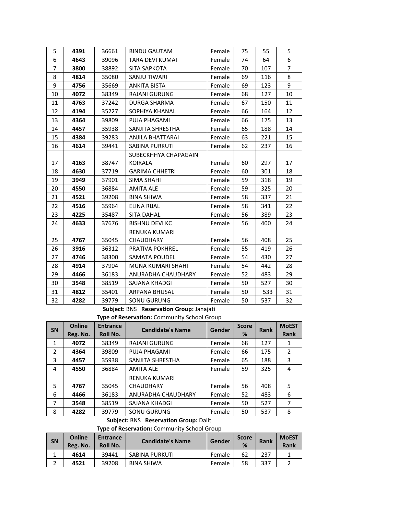| 5              | 4391 | 36661 | <b>BINDU GAUTAM</b>    | Female | 75 | 55  | 5              |
|----------------|------|-------|------------------------|--------|----|-----|----------------|
| 6              | 4643 | 39096 | <b>TARA DEVI KUMAI</b> | Female | 74 | 64  | 6              |
| $\overline{7}$ | 3800 | 38892 | SITA SAPKOTA           | Female | 70 | 107 | $\overline{7}$ |
| 8              | 4814 | 35080 | SANJU TIWARI           | Female | 69 | 116 | 8              |
| 9              | 4756 | 35669 | <b>ANKITA BISTA</b>    | Female | 69 | 123 | 9              |
| 10             | 4072 | 38349 | RAJANI GURUNG          | Female | 68 | 127 | 10             |
| 11             | 4763 | 37242 | <b>DURGA SHARMA</b>    | Female | 67 | 150 | 11             |
| 12             | 4194 | 35227 | SOPHIYA KHANAL         | Female | 66 | 164 | 12             |
| 13             | 4364 | 39809 | PUJA PHAGAMI           | Female | 66 | 175 | 13             |
| 14             | 4457 | 35938 | SANJITA SHRESTHA       | Female | 65 | 188 | 14             |
| 15             | 4384 | 39283 | ANJILA BHATTARAI       | Female | 63 | 221 | 15             |
| 16             | 4614 | 39441 | SABINA PURKUTI         | Female | 62 | 237 | 16             |
|                |      |       | SUBECKHHYA CHAPAGAIN   |        |    |     |                |
| 17             | 4163 | 38747 | <b>KOIRALA</b>         | Female | 60 | 297 | 17             |
| 18             | 4630 | 37719 | <b>GARIMA CHHETRI</b>  | Female | 60 | 301 | 18             |
| 19             | 3949 | 37901 | SIMA SHAHI             | Female | 59 | 318 | 19             |
| 20             | 4550 | 36884 | AMITA ALE              | Female | 59 | 325 | 20             |
| 21             | 4521 | 39208 | <b>BINA SHIWA</b>      | Female | 58 | 337 | 21             |
| 22             | 4516 | 35964 | <b>ELINA RIJAL</b>     | Female | 58 | 341 | 22             |
| 23             | 4225 | 35487 | <b>SITA DAHAL</b>      | Female | 56 | 389 | 23             |
| 24             | 4633 | 37676 | <b>BISHNU DEVI KC</b>  | Female | 56 | 400 | 24             |
|                |      |       | <b>RENUKA KUMARI</b>   |        |    |     |                |
| 25             | 4767 | 35045 | <b>CHAUDHARY</b>       | Female | 56 | 408 | 25             |
| 26             | 3916 | 36312 | <b>PRATIVA POKHREL</b> | Female | 55 | 419 | 26             |
| 27             | 4746 | 38300 | SAMATA POUDEL          | Female | 54 | 430 | 27             |
| 28             | 4914 | 37904 | MUNA KUMARI SHAHI      | Female | 54 | 442 | 28             |
| 29             | 4466 | 36183 | ANURADHA CHAUDHARY     | Female | 52 | 483 | 29             |
| 30             | 3548 | 38519 | SAJANA KHADGI          | Female | 50 | 527 | 30             |
| 31             | 4812 | 35401 | ARPANA BHUSAL          | Female | 50 | 533 | 31             |
| 32             | 4282 | 39779 | <b>SONU GURUNG</b>     | Female | 50 | 537 | 32             |

**Subject:** BNS **Reservation Group:** Janajati

**Type of Reservation:** Community School Group

| <b>SN</b>      | <b>Online</b><br>Reg. No. | <b>Entrance</b><br>Roll No. | <b>Candidate's Name</b> | Gender | <b>Score</b><br>% | <b>Rank</b> | <b>MoEST</b><br><b>Rank</b> |
|----------------|---------------------------|-----------------------------|-------------------------|--------|-------------------|-------------|-----------------------------|
| 1              | 4072                      | 38349                       | <b>RAJANI GURUNG</b>    | Female | 68                | 127         | 1                           |
| $\overline{2}$ | 4364                      | 39809                       | PUJA PHAGAMI            | Female | 66                | 175         | 2                           |
| 3              | 4457                      | 35938                       | SANJITA SHRESTHA        | Female | 65                | 188         | 3                           |
| 4              | 4550                      | 36884                       | <b>AMITA ALE</b>        | Female | 59                | 325         | 4                           |
|                |                           |                             | <b>RENUKA KUMARI</b>    |        |                   |             |                             |
| 5              | 4767                      | 35045                       | <b>CHAUDHARY</b>        | Female | 56                | 408         | 5                           |
| 6              | 4466                      | 36183                       | ANURADHA CHAUDHARY      | Female | 52                | 483         | 6                           |
| 7              | 3548                      | 38519                       | SAJANA KHADGI           | Female | 50                | 527         | 7                           |
| 8              | 4282                      | 39779                       | SONU GURUNG             | Female | 50                | 537         | 8                           |

**Subject:** BNS **Reservation Group:** Dalit

**Type of Reservation:** Community School Group

| SN | Online<br>Reg. No. | <b>Entrance</b><br>Roll No. | <b>Candidate's Name</b> | Gender | <b>Score</b><br>% | <b>Rank</b> | <b>MoEST</b><br>Rank |
|----|--------------------|-----------------------------|-------------------------|--------|-------------------|-------------|----------------------|
|    | 4614               | 39441                       | SABINA PURKUTI          | Female | 62                | 237         |                      |
|    | 4521               | 39208                       | <b>BINA SHIWA</b>       | Female | 58                | 337         |                      |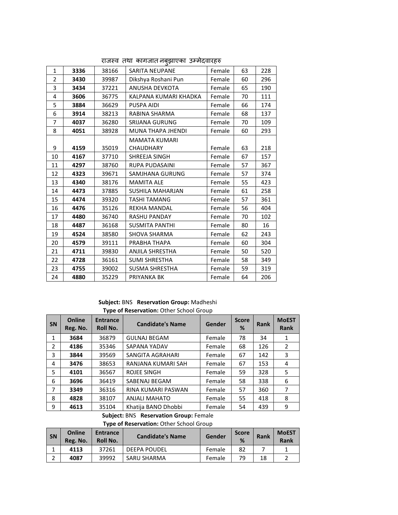|      |       | ు చ                    |        |    |     |
|------|-------|------------------------|--------|----|-----|
| 3336 | 38166 | <b>SARITA NEUPANE</b>  | Female | 63 | 228 |
| 3430 | 39987 | Dikshya Roshani Pun    | Female | 60 | 296 |
| 3434 | 37221 | ANUSHA DEVKOTA         | Female | 65 | 190 |
| 3606 | 36775 | KALPANA KUMARI KHADKA  | Female | 70 | 111 |
| 3884 | 36629 | <b>PUSPA AIDI</b>      | Female | 66 | 174 |
| 3914 | 38213 | RABINA SHARMA          | Female | 68 | 137 |
| 4037 | 36280 | <b>SRIJANA GURUNG</b>  | Female | 70 | 109 |
| 4051 | 38928 | MUNA THAPA JHENDI      | Female | 60 | 293 |
|      |       | <b>MAMATA KUMARI</b>   |        |    |     |
| 4159 | 35019 | <b>CHAUDHARY</b>       | Female | 63 | 218 |
| 4167 | 37710 | SHREEJA SINGH          | Female | 67 | 157 |
| 4297 | 38760 | RUPA PUDASAINI         | Female | 57 | 367 |
| 4323 | 39671 | SAMJHANA GURUNG        | Female | 57 | 374 |
| 4340 | 38176 | <b>MAMITA ALE</b>      | Female | 55 | 423 |
| 4473 | 37885 | SUSHILA MAHARJAN       | Female | 61 | 258 |
| 4474 | 39320 | <b>TASHI TAMANG</b>    | Female | 57 | 361 |
| 4476 | 35126 | <b>REKHA MANDAL</b>    | Female | 56 | 404 |
| 4480 | 36740 | <b>RASHU PANDAY</b>    | Female | 70 | 102 |
| 4487 | 36168 | SUSMITA PANTHI         | Female | 80 | 16  |
| 4524 | 38580 | SHOVA SHARMA           | Female | 62 | 243 |
| 4579 | 39111 | PRABHA THAPA           | Female | 60 | 304 |
| 4711 | 39830 | <b>ANJILA SHRESTHA</b> | Female | 50 | 520 |
| 4728 | 36161 | <b>SUMI SHRESTHA</b>   | Female | 58 | 349 |
| 4755 | 39002 | <b>SUSMA SHRESTHA</b>  | Female | 59 | 319 |
| 4880 | 35229 | PRIYANKA BK            | Female | 64 | 206 |
|      |       |                        |        |    |     |

राजस्व तथा कागजात नबुझाएका उम्मेदवारहरु

#### **Subject:** BNS **Reservation Group:** Madheshi **Type of Reservation:** Other School Group

| <b>SN</b>      | <b>Online</b><br>Reg. No. | . .<br><b>Entrance</b><br>Roll No. | <b>Candidate's Name</b> | <b>Gender</b> | <b>Score</b><br>% | <b>Rank</b> | <b>MoEST</b><br>Rank |
|----------------|---------------------------|------------------------------------|-------------------------|---------------|-------------------|-------------|----------------------|
| 1              | 3684                      | 36879                              | <b>GULNAJ BEGAM</b>     | Female        | 78                | 34          | 1                    |
| $\overline{2}$ | 4186                      | 35346                              | SAPANA YADAV            | Female        | 68                | 126         | $\overline{2}$       |
| 3              | 3844                      | 39569                              | SANGITA AGRAHARI        | Female        | 67                | 142         | 3                    |
| 4              | 3476                      | 38653                              | RANJANA KUMARI SAH      | Female        | 67                | 153         | 4                    |
| 5              | 4101                      | 36567                              | <b>ROJEE SINGH</b>      | Female        | 59                | 328         | 5                    |
| 6              | 3696                      | 36419                              | SABENAJ BEGAM           | Female        | 58                | 338         | 6                    |
| 7              | 3349                      | 36316                              | RINA KUMARI PASWAN      | Female        | 57                | 360         | 7                    |
| 8              | 4828                      | 38107                              | <b>ANJALI MAHATO</b>    | Female        | 55                | 418         | 8                    |
| 9              | 4613                      | 35104                              | Khatija BANO Dhobbi     | Female        | 54                | 439         | 9                    |

**Subject:** BNS **Reservation Group:** Female

**Type of Reservation:** Other School Group

| <b>SN</b> | Online<br>Reg. No. | <b>Entrance</b><br>Roll No. | <b>Candidate's Name</b> | Gender | <b>Score</b><br>% | <b>Rank</b> | <b>MoEST</b><br><b>Rank</b> |
|-----------|--------------------|-----------------------------|-------------------------|--------|-------------------|-------------|-----------------------------|
| J.        | 4113               | 37261                       | DEEPA POUDEL            | Female | 82                |             |                             |
| ∽<br>ے    | 4087               | 39992                       | SARU SHARMA             | Female | 79                | 18          |                             |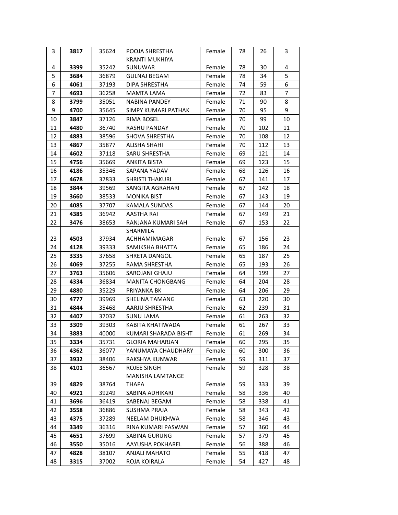| 3  | 3817         | 35624          | POOJA SHRESTHA                   | Female           | 78       | 26         | 3  |
|----|--------------|----------------|----------------------------------|------------------|----------|------------|----|
|    |              |                | <b>KRANTI MUKHIYA</b>            |                  |          |            |    |
| 4  | 3399         | 35242          | SUNUWAR                          | Female           | 78       | 30         | 4  |
| 5  | 3684         | 36879          | <b>GULNAJ BEGAM</b>              | Female           | 78       | 34         | 5  |
| 6  | 4061         | 37193          | DIPA SHRESTHA                    | Female           | 74       | 59         | 6  |
| 7  | 4693         | 36258          | <b>MAMTA LAMA</b>                | Female           | 72       | 83         | 7  |
| 8  | 3799         | 35051          | NABINA PANDEY                    | Female           | 71       | 90         | 8  |
| 9  | 4700         | 35645          | SIMPY KUMARI PATHAK              | Female           | 70       | 95         | 9  |
| 10 | 3847         | 37126          | <b>RIMA BOSEL</b>                | Female           | 70       | 99         | 10 |
| 11 | 4480         | 36740          | RASHU PANDAY                     | Female           | 70       | 102        | 11 |
| 12 | 4883         | 38596          | <b>SHOVA SHRESTHA</b>            | Female           | 70       | 108        | 12 |
| 13 | 4867         | 35877          | ALISHA SHAHI                     | Female           | 70       | 112        | 13 |
| 14 | 4602         | 37118          | SARU SHRESTHA                    | Female           | 69       | 121        | 14 |
| 15 | 4756         | 35669          | <b>ANKITA BISTA</b>              | Female           | 69       | 123        | 15 |
| 16 | 4186         | 35346          | SAPANA YADAV                     | Female           | 68       | 126        | 16 |
| 17 | 4678         | 37833          | <b>SHRISTI THAKURI</b>           | Female           | 67       | 141        | 17 |
| 18 | 3844         | 39569          | SANGITA AGRAHARI                 | Female           | 67       | 142        | 18 |
| 19 | 3660         | 38533          | <b>MONIKA BIST</b>               | Female           | 67       | 143        | 19 |
| 20 | 4085         | 37707          | <b>KAMALA SUNDAS</b>             | Female           | 67       | 144        | 20 |
| 21 | 4385         | 36942          | <b>AASTHA RAI</b>                | Female           | 67       | 149        | 21 |
| 22 | 3476         | 38653          | RANJANA KUMARI SAH               | Female           | 67       | 153        | 22 |
|    |              |                | SHARMILA                         |                  |          |            |    |
| 23 | 4503         | 37934          | ACHHAMIMAGAR                     | Female           | 67       | 156        | 23 |
| 24 | 4128         | 39333          | SAMIKSHA BHATTA                  | Female           | 65       | 186        | 24 |
| 25 | 3335         | 37658          | SHRETA DANGOL                    | Female           | 65       | 187        | 25 |
| 26 | 4069         | 37255          | RAMA SHRESTHA                    | Female           | 65       | 193        | 26 |
| 27 | 3763         | 35606          | SAROJANI GHAJU                   | Female           | 64       | 199        | 27 |
| 28 | 4334         | 36834          | MANITA CHONGBANG                 | Female           | 64       | 204        | 28 |
| 29 | 4880         | 35229          | PRIYANKA BK                      | Female           | 64       | 206        | 29 |
| 30 | 4777         | 39969          | SHELINA TAMANG                   | Female           | 63       | 220        | 30 |
| 31 | 4844         | 35468          | AARJU SHRESTHA                   | Female           | 62       | 239        | 31 |
| 32 | 4407         | 37032          | <b>SUNU LAMA</b>                 | Female           | 61       | 263        | 32 |
| 33 | 3309         | 39303          | KABITA KHATIWADA                 | Female           | 61       | 267        | 33 |
| 34 | 3883         | 40000          | KUMARI SHARADA BISHT             | Female           | 61       | 269        | 34 |
| 35 | 3334         | 35731          | <b>GLORIA MAHARJAN</b>           | Female           | 60       | 295        | 35 |
| 36 | 4362         | 36077          | YANUMAYA CHAUDHARY               | Female           | 60       | 300        | 36 |
| 37 | 3932         | 38406          | RAKSHYA KUNWAR                   | Female           | 59       | 311        | 37 |
| 38 | 4101         | 36567          | ROJEE SINGH                      | Female           | 59       | 328        | 38 |
| 39 | 4829         | 38764          | MANISHA LAMTANGE<br><b>THAPA</b> | Female           | 59       | 333        | 39 |
| 40 |              |                | SABINA ADHIKARI                  |                  |          |            | 40 |
| 41 | 4921<br>3696 | 39249<br>36419 | SABENAJ BEGAM                    | Female<br>Female | 58<br>58 | 336<br>338 | 41 |
| 42 | 3558         | 36886          | SUSHMA PRAJA                     | Female           | 58       | 343        | 42 |
| 43 | 4375         | 37289          | NEELAM DHUKHWA                   | Female           | 58       | 346        | 43 |
| 44 | 3349         | 36316          | RINA KUMARI PASWAN               | Female           | 57       | 360        | 44 |
| 45 | 4651         | 37699          | <b>SABINA GURUNG</b>             | Female           | 57       | 379        | 45 |
| 46 | 3550         | 35016          | AAYUSHA POKHAREL                 | Female           | 56       | 388        | 46 |
| 47 | 4828         | 38107          | <b>ANJALI MAHATO</b>             | Female           | 55       | 418        | 47 |
| 48 | 3315         | 37002          | ROJA KOIRALA                     | Female           | 54       | 427        | 48 |
|    |              |                |                                  |                  |          |            |    |